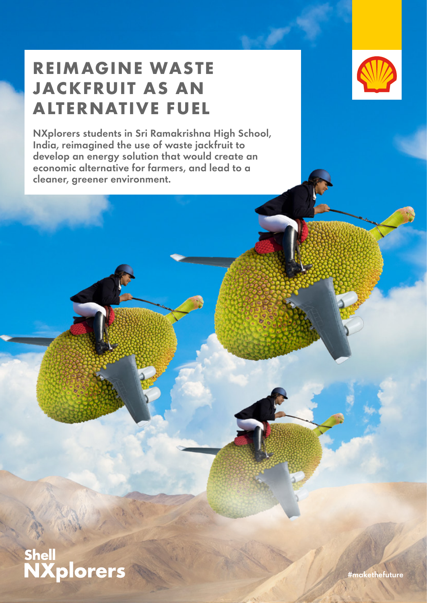# **REIMAGINE WASTE JACKFRUIT AS AN ALTERNATIVE FUEL**

NXplorers students in Sri Ramakrishna High School, India, reimagined the use of waste jackfruit to develop an energy solution that would create an economic alternative for farmers, and lead to a cleaner, greener environment.





#makethefuture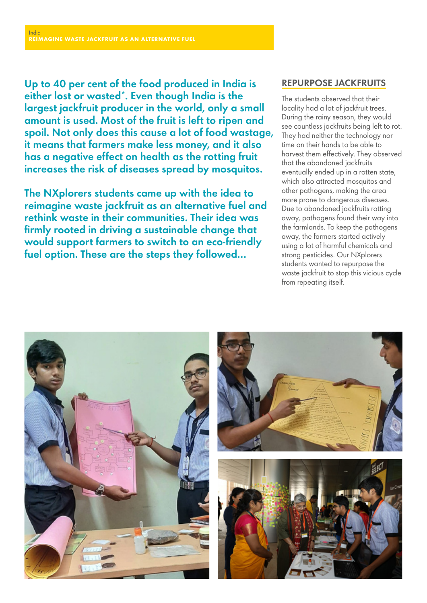Up to 40 per cent of the food produced in India is either lost or wasted\*. Even though India is the largest jackfruit producer in the world, only a small amount is used. Most of the fruit is left to ripen and spoil. Not only does this cause a lot of food wastage, it means that farmers make less money, and it also has a negative effect on health as the rotting fruit increases the risk of diseases spread by mosquitos.

The NXplorers students came up with the idea to reimagine waste jackfruit as an alternative fuel and rethink waste in their communities. Their idea was firmly rooted in driving a sustainable change that would support farmers to switch to an eco-friendly fuel option. These are the steps they followed…

#### REPURPOSE JACKFRUITS

The students observed that their locality had a lot of jackfruit trees. During the rainy season, they would see countless jackfruits being left to rot. They had neither the technology nor time on their hands to be able to harvest them effectively. They observed that the abandoned jackfruits eventually ended up in a rotten state, which also attracted mosquitos and other pathogens, making the area more prone to dangerous diseases. Due to abandoned jackfruits rotting away, pathogens found their way into the farmlands. To keep the pathogens away, the farmers started actively using a lot of harmful chemicals and strong pesticides. Our NXplorers students wanted to repurpose the waste jackfruit to stop this vicious cycle from repeating itself.